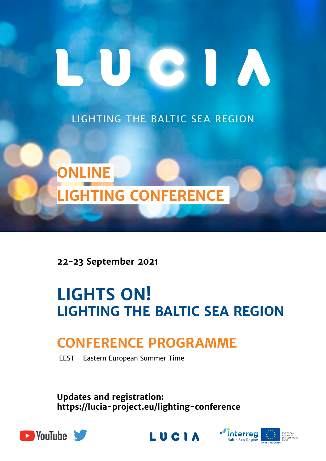# CIU A

LIGHTING THE BALTIC SEA REGION



**22-23 September 2021** 

# **LIGHTS ON! LIGHTING THE BALTIC SEA REGION**

## **conference programme**

EEST - Eastern European Summer Time

**Updates and registration: [https://lucia-project.eu/lighting-conference](https://lucia-project.eu)**





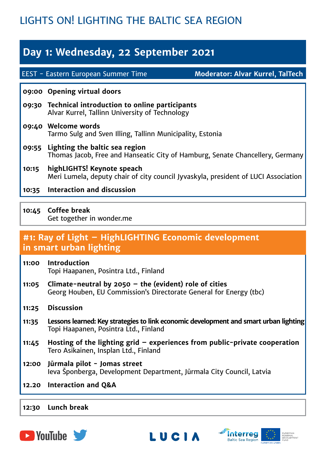## LIGHTS ON! LIGHTING THE BALTIC SEA REGION

## **Day 1: Wednesday, 22 September 2021**

EEST - Eastern European Summer Time

**Moderator: Alvar Kurrel, TalTech**

#### **09:00 Opening virtual doors**

- **09:30 Technical introduction to online participants** Alvar Kurrel, Tallinn University of Technology
- **09:40 Welcome words** Tarmo Sulg and Sven Illing, Tallinn Municipality, Estonia
- **09:55 Lighting the baltic sea region** Thomas Jacob, Free and Hanseatic City of Hamburg, Senate Chancellery, Germany
- **10:15 highLIGHTS! Keynote speach** Meri Lumela, deputy chair of city council Jyvaskyla, president of LUCI Association
- **10:35 Interaction and discussion**
- **10:45 Coffee break** Get together in wonder.me

#### **#1: Ray of Light – HighLIGHTING Economic development in smart urban lighting**

- **11:00 Introduction** Topi Haapanen, Posintra Ltd., Finland
- **11:05 Climate-neutral by 2050 the (evident) role of cities** Georg Houben, EU Commission's Directorate General for Energy (tbc)
- **11:25 Discussion**
- **11:35 Lessons learned: Key strategies to link economic development and smart urban lighting** Topi Haapanen, Posintra Ltd., Finland
- **11:45 Hosting of the lighting grid experiences from public-private cooperation** Tero Asikainen, Insplan Ltd., Finland
- **12:00 Jūrmala pilot - Jomas street** Ieva Šponberga, Development Department, Jūrmala City Council, Latvia
- **12.20 Interaction and Q&A**

#### **12:30 Lunch break**





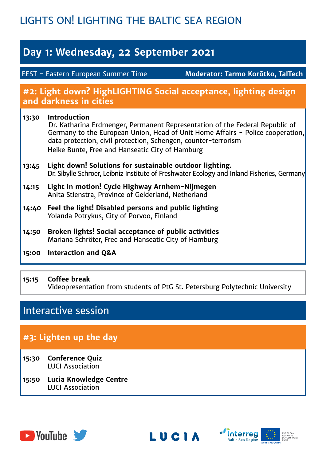## LIGHTS ON! LIGHTING THE BALTIC SEA REGION

## **Day 1: Wednesday, 22 September 2021**

EEST - Eastern European Summer Time

**Moderator: Tarmo Korõtko, TalTech**

#### **#2: Light down? HighLIGHTING Social acceptance, lighting design and darkness in cities**

#### **13:30 Introduction** Dr. Katharina Erdmenger, Permanent Representation of the Federal Republic of Germany to the European Union, Head of Unit Home Affairs - Police cooperation, data protection, civil protection, Schengen, counter-terrorism Heike Bunte, Free and Hanseatic City of Hamburg **13:45 Light down! Solutions for sustainable outdoor lighting.** Dr. Sibylle Schroer, Leibniz Institute of Freshwater Ecology and Inland Fisheries, Germany

- **14:15 Light in motion! Cycle Highway Arnhem-Nijmegen**  Anita Stienstra, Province of Gelderland, Netherland
- **14:40 Feel the light! Disabled persons and public lighting**  Yolanda Potrykus, City of Porvoo, Finland
- **14:50 Broken lights! Social acceptance of public activities** Mariana Schröter, Free and Hanseatic City of Hamburg
- **15:00 Interaction and Q&A**

#### **15:15 Coffee break** Videopresentation from students of PtG St. Petersburg Polytechnic University

## Interactive session

## **#3: Lighten up the day**

- **15:30 Conference Quiz** LUCI Association
- **15:50 Lucia Knowledge Centre** LUCI Association





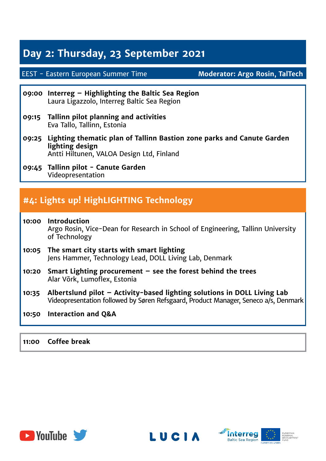## **Day 2: Thursday, 23 September 2021**

#### EEST - Eastern European Summer Time

**Moderator: Argo Rosin, TalTech**

- **09:00 Interreg Highlighting the Baltic Sea Region** Laura Ligazzolo, Interreg Baltic Sea Region
- **09:15 Tallinn pilot planning and activities** Eva Tallo, Tallinn, Estonia
- **09:25 Lighting thematic plan of Tallinn Bastion zone parks and Canute Garden lighting design** Antti Hiltunen, VALOA Design Ltd, Finland
- **09:45 Tallinn pilot Canute Garden** Videopresentation

### **#4: Lights up! HighLIGHTING Technology**

- **10:00 Introduction** Argo Rosin, Vice-Dean for Research in School of Engineering, Tallinn University of Technology **10:05 The smart city starts with smart lighting** Jens Hammer, Technology Lead, DOLL Living Lab, Denmark **10:20 Smart Lighting procurement – see the forest behind the trees** Alar Võrk, Lumoflex, Estonia **10:35 Albertslund pilot – Activity-based lighting solutions in DOLL Living Lab** Videopresentation followed by Søren Refsgaard, Product Manager, Seneco a/s, Denmark
- **10:50 Interaction and Q&A**

**11:00 Coffee break**